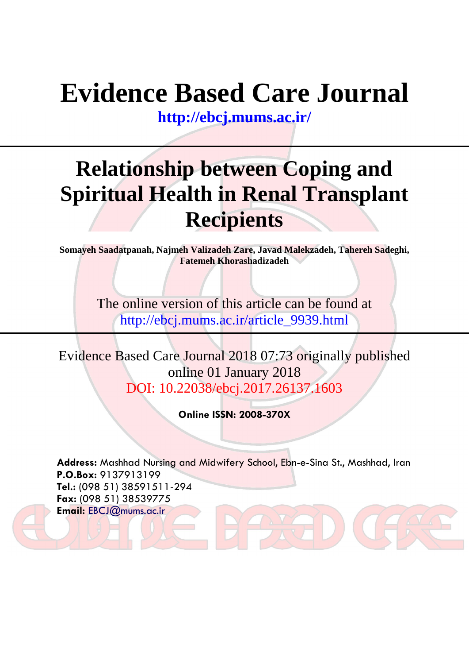# **Evidence Based Care Journal**

**<http://ebcj.mums.ac.ir/>**

## **Relationship between Coping and Spiritual Health in Renal Transplant Recipients**

**Somayeh Saadatpanah, Najmeh Valizadeh Zare, Javad Malekzadeh, Tahereh Sadeghi, Fatemeh Khorashadizadeh**

> The online version of this article can be found at http://ebcj.mums.ac.ir/article\_9939.html

Evidence Based Care Journal 2018 07:73 originally published online 01 January 2018 DOI: 10.22038/ebcj.2017.26137.1603

**Online ISSN: 2008-370X**

**Address:** Mashhad Nursing and Midwifery School, Ebn-e-Sina St., Mashhad, Iran **P.O.Box:** 9137913199 **Tel.:** (098 51) 38591511-294 **Fax:** (098 51) 38539775 **Email:** [EBCJ@mums.ac.ir](mailto:EBCJ@mums.ac.ir)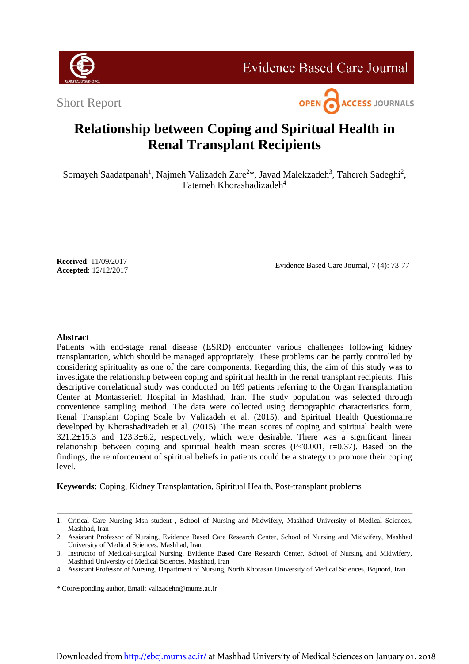

### **Evidence Based Care Journal**

Short Report



## **Relationship between Coping and Spiritual Health in Renal Transplant Recipients**

Somayeh Saadatpanah<sup>1</sup>, Najmeh Valizadeh Zare<sup>2\*</sup>, Javad Malekzadeh<sup>3</sup>, Tahereh Sadeghi<sup>2</sup>, Fatemeh Khorashadizadeh<sup>4</sup>

**Received**: 11/09/2017 **Accepted**: 12/12/2017

Evidence Based Care Journal, 7 (4): 73-77

#### **Abstract**

Patients with end-stage renal disease (ESRD) encounter various challenges following kidney transplantation, which should be managed appropriately. These problems can be partly controlled by considering spirituality as one of the care components. Regarding this, the aim of this study was to investigate the relationship between coping and spiritual health in the renal transplant recipients. This descriptive correlational study was conducted on 169 patients referring to the Organ Transplantation Center at Montasserieh Hospital in Mashhad, Iran. The study population was selected through convenience sampling method. The data were collected using demographic characteristics form, Renal Transplant Coping Scale by Valizadeh et al. (2015), and Spiritual Health Questionnaire developed by Khorashadizadeh et al. (2015). The mean scores of coping and spiritual health were 321.2±15.3 and 123.3±6.2, respectively, which were desirable. There was a significant linear relationship between coping and spiritual health mean scores  $(P< 0.001, r=0.37)$ . Based on the findings, the reinforcement of spiritual beliefs in patients could be a strategy to promote their coping level.

**Keywords:** Coping, Kidney Transplantation, Spiritual Health, Post-transplant problems

<sup>1.</sup> Critical Care Nursing Msn student , School of Nursing and Midwifery, Mashhad University of Medical Sciences, Mashhad, Iran

<sup>2.</sup> Assistant Professor of Nursing, Evidence Based Care Research Center, School of Nursing and Midwifery, Mashhad University of Medical Sciences, Mashhad, Iran

<sup>3.</sup> Instructor of Medical-surgical Nursing, Evidence Based Care Research Center, School of Nursing and Midwifery, Mashhad University of Medical Sciences, Mashhad, Iran

<sup>4.</sup> Assistant Professor of Nursing, Department of Nursing, North Khorasan University of Medical Sciences, Bojnord, Iran

<sup>\*</sup> Corresponding author, Email: [valizadehn@mums.ac.ir](mailto:valizadehn@mums.ac.ir)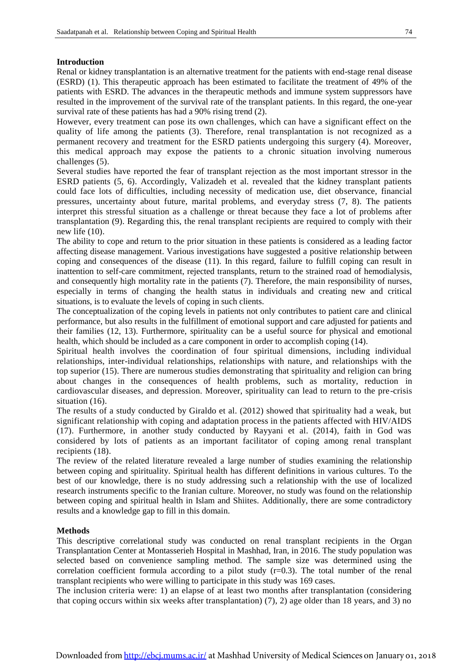#### **Introduction**

Renal or kidney transplantation is an alternative treatment for the patients with end-stage renal disease (ESRD) (1). This therapeutic approach has been estimated to facilitate the treatment of 49% of the patients with ESRD. The advances in the therapeutic methods and immune system suppressors have resulted in the improvement of the survival rate of the transplant patients. In this regard, the one-year survival rate of these patients has had a 90% rising trend  $(2)$ .

However, every treatment can pose its own challenges, which can have a significant effect on the quality of life among the patients (3). Therefore, renal transplantation is not recognized as a permanent recovery and treatment for the ESRD patients undergoing this surgery (4). Moreover, this medical approach may expose the patients to a chronic situation involving numerous challenges (5).

Several studies have reported the fear of transplant rejection as the most important stressor in the ESRD patients (5, 6). Accordingly, Valizadeh et al. revealed that the kidney transplant patients could face lots of difficulties, including necessity of medication use, diet observance, financial pressures, uncertainty about future, marital problems, and everyday stress (7, 8). The patients interpret this stressful situation as a challenge or threat because they face a lot of problems after transplantation (9). Regarding this, the renal transplant recipients are required to comply with their new life (10).

The ability to cope and return to the prior situation in these patients is considered as a leading factor affecting disease management. Various investigations have suggested a positive relationship between coping and consequences of the disease (11). In this regard, failure to fulfill coping can result in inattention to self-care commitment, rejected transplants, return to the strained road of hemodialysis, and consequently high mortality rate in the patients (7). Therefore, the main responsibility of nurses, especially in terms of changing the health status in individuals and creating new and critical situations, is to evaluate the levels of coping in such clients.

The conceptualization of the coping levels in patients not only contributes to patient care and clinical performance, but also results in the fulfillment of emotional support and care adjusted for patients and their families (12, 13). Furthermore, spirituality can be a useful source for physical and emotional health, which should be included as a care component in order to accomplish coping (14).

Spiritual health involves the coordination of four spiritual dimensions, including individual relationships, inter-individual relationships, relationships with nature, and relationships with the top superior (15). There are numerous studies demonstrating that spirituality and religion can bring about changes in the consequences of health problems, such as mortality, reduction in cardiovascular diseases, and depression. Moreover, spirituality can lead to return to the pre-crisis situation (16).

The results of a study conducted by Giraldo et al. (2012) showed that spirituality had a weak, but significant relationship with coping and adaptation process in the patients affected with HIV/AIDS (17). Furthermore, in another study conducted by Rayyani et al. (2014), faith in God was considered by lots of patients as an important facilitator of coping among renal transplant recipients (18).

The review of the related literature revealed a large number of studies examining the relationship between coping and spirituality. Spiritual health has different definitions in various cultures. To the best of our knowledge, there is no study addressing such a relationship with the use of localized research instruments specific to the Iranian culture. Moreover, no study was found on the relationship between coping and spiritual health in Islam and Shiites. Additionally, there are some contradictory results and a knowledge gap to fill in this domain.

#### **Methods**

This descriptive correlational study was conducted on renal transplant recipients in the Organ Transplantation Center at Montasserieh Hospital in Mashhad, Iran, in 2016. The study population was selected based on convenience sampling method. The sample size was determined using the correlation coefficient formula according to a pilot study (r=0.3). The total number of the renal transplant recipients who were willing to participate in this study was 169 cases.

The inclusion criteria were: 1) an elapse of at least two months after transplantation (considering that coping occurs within six weeks after transplantation) (7), 2) age older than 18 years, and 3) no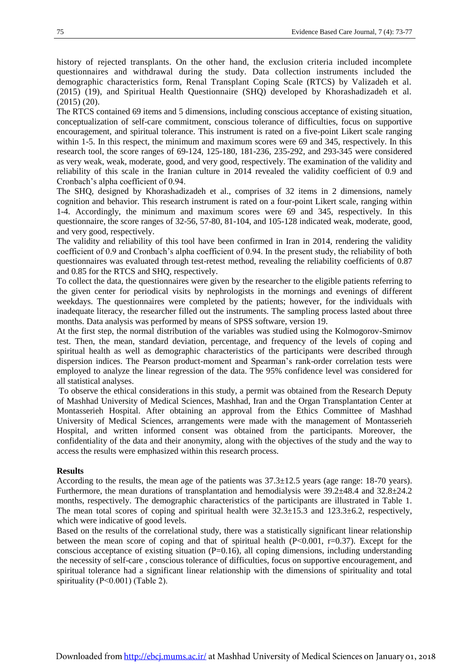history of rejected transplants. On the other hand, the exclusion criteria included incomplete questionnaires and withdrawal during the study. Data collection instruments included the demographic characteristics form, Renal Transplant Coping Scale (RTCS) by Valizadeh et al. (2015) (19), and Spiritual Health Questionnaire (SHQ) developed by Khorashadizadeh et al. (2015) (20).

The RTCS contained 69 items and 5 dimensions, including conscious acceptance of existing situation, conceptualization of self-care commitment, conscious tolerance of difficulties, focus on supportive encouragement, and spiritual tolerance. This instrument is rated on a five-point Likert scale ranging within 1-5. In this respect, the minimum and maximum scores were 69 and 345, respectively. In this research tool, the score ranges of 69-124, 125-180, 181-236, 235-292, and 293-345 were considered as very weak, weak, moderate, good, and very good, respectively. The examination of the validity and reliability of this scale in the Iranian culture in 2014 revealed the validity coefficient of 0.9 and Cronbach's alpha coefficient of 0.94.

The SHQ, designed by Khorashadizadeh et al., comprises of 32 items in 2 dimensions, namely cognition and behavior. This research instrument is rated on a four-point Likert scale, ranging within 1-4. Accordingly, the minimum and maximum scores were 69 and 345, respectively. In this questionnaire, the score ranges of 32-56, 57-80, 81-104, and 105-128 indicated weak, moderate, good, and very good, respectively.

The validity and reliability of this tool have been confirmed in Iran in 2014, rendering the validity coefficient of 0.9 and Cronbach's alpha coefficient of 0.94. In the present study, the reliability of both questionnaires was evaluated through test-retest method, revealing the reliability coefficients of 0.87 and 0.85 for the RTCS and SHQ, respectively.

To collect the data, the questionnaires were given by the researcher to the eligible patients referring to the given center for periodical visits by nephrologists in the mornings and evenings of different weekdays. The questionnaires were completed by the patients; however, for the individuals with inadequate literacy, the researcher filled out the instruments. The sampling process lasted about three months. Data analysis was performed by means of SPSS software, version 19.

At the first step, the normal distribution of the variables was studied using the Kolmogorov-Smirnov test. Then, the mean, standard deviation, percentage, and frequency of the levels of coping and spiritual health as well as demographic characteristics of the participants were described through dispersion indices. The Pearson product-moment and Spearman's rank-order correlation tests were employed to analyze the linear regression of the data. The 95% confidence level was considered for all statistical analyses.

To observe the ethical considerations in this study, a permit was obtained from the Research Deputy of Mashhad University of Medical Sciences, Mashhad, Iran and the Organ Transplantation Center at Montasserieh Hospital. After obtaining an approval from the Ethics Committee of Mashhad University of Medical Sciences, arrangements were made with the management of Montasserieh Hospital, and written informed consent was obtained from the participants. Moreover, the confidentiality of the data and their anonymity, along with the objectives of the study and the way to access the results were emphasized within this research process.

#### **Results**

According to the results, the mean age of the patients was 37.3±12.5 years (age range: 18-70 years). Furthermore, the mean durations of transplantation and hemodialysis were 39.2±48.4 and 32.8±24.2 months, respectively. The demographic characteristics of the participants are illustrated in Table 1. The mean total scores of coping and spiritual health were  $32.3 \pm 15.3$  and  $123.3 \pm 6.2$ , respectively, which were indicative of good levels.

Based on the results of the correlational study, there was a statistically significant linear relationship between the mean score of coping and that of spiritual health  $(P<0.001, r=0.37)$ . Except for the conscious acceptance of existing situation  $(P=0.16)$ , all coping dimensions, including understanding the necessity of self-care , conscious tolerance of difficulties, focus on supportive encouragement, and spiritual tolerance had a significant linear relationship with the dimensions of spirituality and total spirituality (P˂0.001) (Table 2).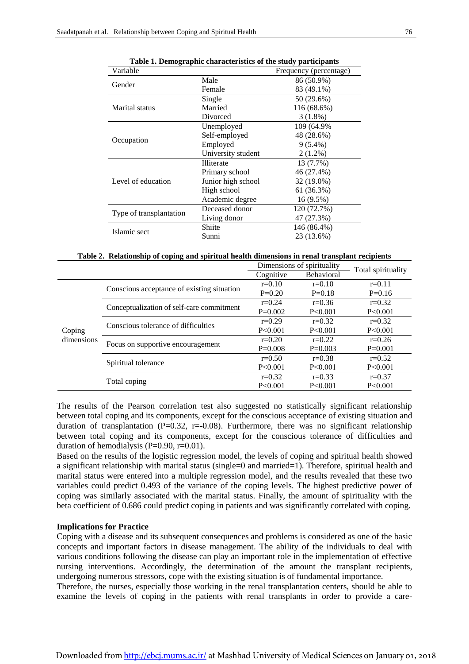| Variable                |                    | Frequency (percentage) |
|-------------------------|--------------------|------------------------|
|                         | Male               | 86 (50.9%)             |
| Gender                  | Female             | 83 (49.1%)             |
|                         | Single             | 50 (29.6%)             |
| Marital status          | Married            | 116 (68.6%)            |
|                         | Divorced           | $3(1.8\%)$             |
|                         | Unemployed         | 109 (64.9%)            |
| Occupation              | Self-employed      | 48 (28.6%)             |
|                         | Employed           | $9(5.4\%)$             |
|                         | University student | $2(1.2\%)$             |
|                         | Illiterate         | 13 (7.7%)              |
|                         | Primary school     | 46 (27.4%)             |
| Level of education      | Junior high school | 32 (19.0%)             |
|                         | High school        | 61 (36.3%)             |
|                         | Academic degree    | $16(9.5\%)$            |
| Type of transplantation | Deceased donor     | 120 (72.7%)            |
|                         | Living donor       | 47 (27.3%)             |
| Islamic sect            | Shiite             | 146 (86.4%)            |
|                         | Sunni              | 23 (13.6%)             |

| Table 1. Demographic characteristics of the study participants |  |  |
|----------------------------------------------------------------|--|--|
|                                                                |  |  |

|  |  |  |  |  |  | Table 2. Relationship of coping and spiritual health dimensions in renal transplant recipients |
|--|--|--|--|--|--|------------------------------------------------------------------------------------------------|
|--|--|--|--|--|--|------------------------------------------------------------------------------------------------|

|                      |                                            | Dimensions of spirituality |                   |                    |  |
|----------------------|--------------------------------------------|----------------------------|-------------------|--------------------|--|
|                      |                                            | Cognitive                  | <b>Behavioral</b> | Total spirituality |  |
| Coping<br>dimensions |                                            | $r=0.10$                   | $r = 0.10$        | $r=0.11$           |  |
|                      | Conscious acceptance of existing situation | $P=0.20$                   | $P=0.18$          | $P=0.16$           |  |
|                      |                                            | $r=0.24$                   | $r=0.36$          | $r=0.32$           |  |
|                      | Conceptualization of self-care commitment  | $P=0.002$                  | P < 0.001         | P < 0.001          |  |
|                      | Conscious tolerance of difficulties        | $r=0.29$                   | $r=0.32$          | $r=0.32$           |  |
|                      |                                            | P < 0.001                  | P < 0.001         | P < 0.001          |  |
|                      |                                            | $r=0.20$                   | $r=0.22$          | $r=0.26$           |  |
|                      | Focus on supportive encouragement          | $P=0.008$                  | $P=0.003$         | $P=0.001$          |  |
|                      | Spiritual tolerance                        | $r=0.50$                   | $r=0.38$          | $r=0.52$           |  |
|                      |                                            | $P \le 0.001$              | P < 0.001         | P < 0.001          |  |
|                      |                                            | $r=0.32$                   | $r=0.33$          | $r = 0.37$         |  |
|                      | Total coping                               | P < 0.001                  | P < 0.001         | P < 0.001          |  |

The results of the Pearson correlation test also suggested no statistically significant relationship between total coping and its components, except for the conscious acceptance of existing situation and duration of transplantation (P=0.32, r=-0.08). Furthermore, there was no significant relationship between total coping and its components, except for the conscious tolerance of difficulties and duration of hemodialysis ( $P=0.90$ ,  $r=0.01$ ).

Based on the results of the logistic regression model, the levels of coping and spiritual health showed a significant relationship with marital status (single=0 and married=1). Therefore, spiritual health and marital status were entered into a multiple regression model, and the results revealed that these two variables could predict 0.493 of the variance of the coping levels. The highest predictive power of coping was similarly associated with the marital status. Finally, the amount of spirituality with the beta coefficient of 0.686 could predict coping in patients and was significantly correlated with coping.

#### **Implications for Practice**

Coping with a disease and its subsequent consequences and problems is considered as one of the basic concepts and important factors in disease management. The ability of the individuals to deal with various conditions following the disease can play an important role in the implementation of effective nursing interventions. Accordingly, the determination of the amount the transplant recipients, undergoing numerous stressors, cope with the existing situation is of fundamental importance.

Therefore, the nurses, especially those working in the renal transplantation centers, should be able to examine the levels of coping in the patients with renal transplants in order to provide a care